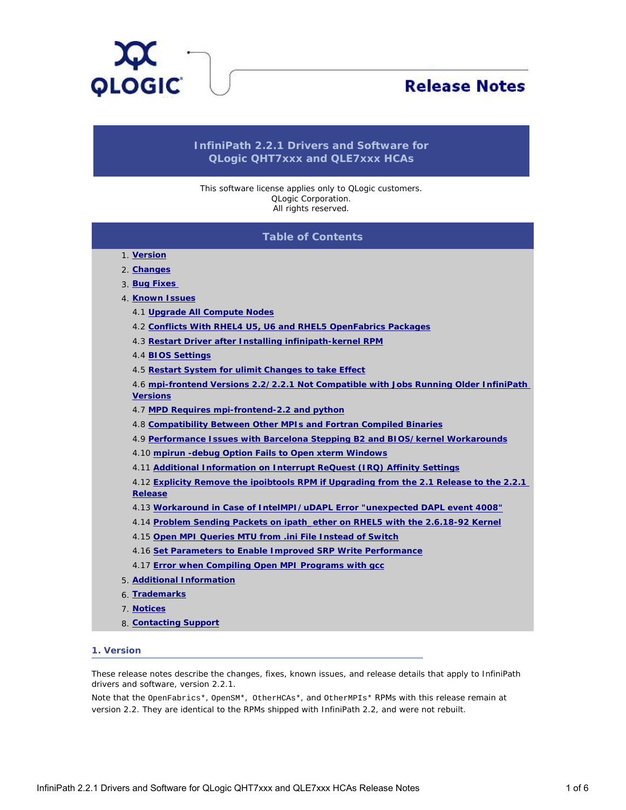<span id="page-0-1"></span>

# **Release Notes**

# **InfiniPath 2.2.1 Drivers and Software for QLogic QHT7xxx and QLE7xxx HCAs**

This software license applies only to QLogic customers. QLogic Corporation. All rights reserved.

# **Table of Contents**

- 1. **[Version](#page-0-0)**
- 2. **[Changes](#page-1-0)**
- 3. **[Bug Fixes](#page-1-1)**
- 4. **[Known Issues](#page-1-2)**
	- 4.1 **[Upgrade All Compute Nodes](#page-1-3)**
	- 4.2 **[Conflicts With RHEL4 U5, U6 and RHEL5 OpenFabrics Packages](#page-2-0)**
	- 4.3 **[Restart Driver after Installing infinipath-kernel RPM](#page-2-1)**
	- 4.4 **[BIOS Settings](#page-2-2)**
	- 4.5 **[Restart System for ulimit Changes to take Effect](#page-2-3)**
	- 4.6 **[mpi-frontend Versions 2.2/2.2.1 Not Compatible with Jobs Running Older InfiniPath](#page-2-4) [Versions](#page-2-4)**
	- 4.7 **[MPD Requires mpi-frontend-2.2 and python](#page-2-5)**
	- 4.8 **[Compatibility Between Other MPIs and Fortran Compiled Binaries](#page-3-0)**
	- 4.9 **[Performance Issues with Barcelona Stepping B2 and BIOS/kernel Workarounds](#page-3-1)**
	- 4.10 **[mpirun -debug Option Fails to Open xterm Windows](#page-3-2)**
	- 4.11 **[Additional Information on Interrupt ReQuest \(IRQ\) Affinity Settings](#page-3-3)**

4.12 **[Explicity Remove the ipoibtools RPM if Upgrading from the 2.1 Release to the 2.2.1](#page-3-4) [Release](#page-3-4)**

- 4.13 **[Workaround in Case of IntelMPI/uDAPL Error "unexpected DAPL event 4008"](#page-4-0)**
- 4.14 **[Problem Sending Packets on ipath\\_ether on RHEL5 with the 2.6.18-92 Kernel](#page-4-1)**
- 4.15 **[Open MPI Queries MTU from .ini File Instead of Switch](#page-4-2)**
- 4.16 **[Set Parameters to Enable Improved SRP Write Performance](#page-4-3)**
- 4.17 **[Error when Compiling Open MPI Programs with gcc](#page-4-4)**
- 5. **[Additional Information](#page-5-0)**
- 6. **[Trademarks](#page-5-1)**
- 7. **[Notices](#page-5-2)**
- 8. **[Contacting Support](#page-5-3)**

# <span id="page-0-0"></span>**1. Version**

These release notes describe the changes, fixes, known issues, and release details that apply to InfiniPath drivers and software, version 2.2.1.

Note that the OpenFabrics\*, OpenSM\*, OtherHCAs\*, and OtherMPIs\* RPMs with this release remain at version 2.2. They are identical to the RPMs shipped with InfiniPath 2.2, and were not rebuilt.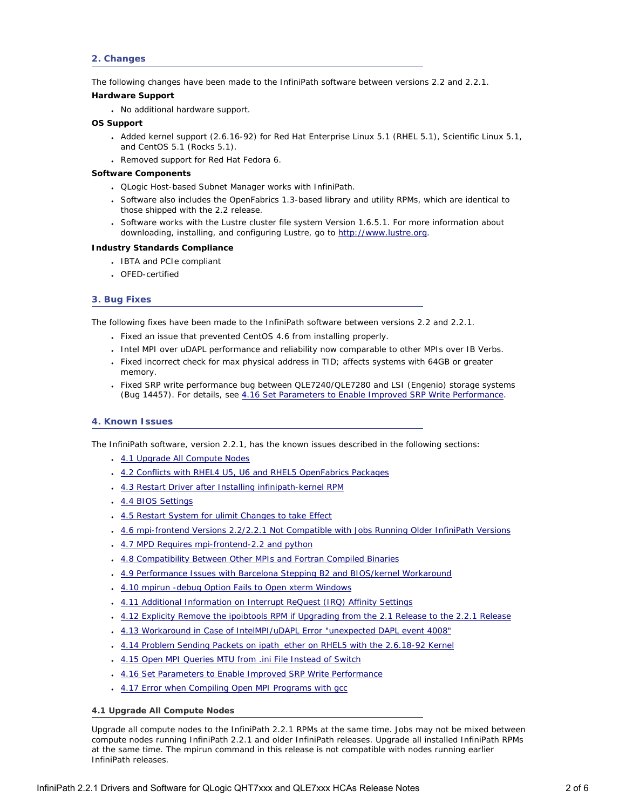# <span id="page-1-0"></span>**2. Changes**

The following changes have been made to the InfiniPath software between versions 2.2 and 2.2.1.

#### **Hardware Support**

• No additional hardware support.

# **OS Support**

- Added kernel support (2.6.16-92) for Red Hat Enterprise Linux 5.1 (RHEL 5.1), Scientific Linux 5.1, and CentOS 5.1 (Rocks 5.1).
- Removed support for Red Hat Fedora 6.

# **Software Components**

- QLogic Host-based Subnet Manager works with InfiniPath.
- Software also includes the OpenFabrics 1.3-based library and utility RPMs, which are identical to those shipped with the 2.2 release.
- Software works with the Lustre cluster file system Version 1.6.5.1. For more information about downloading, installing, and configuring Lustre, go to [http://www.lustre.org.](http://www.lustre.org/)

#### **Industry Standards Compliance**

- IBTA and PCIe compliant
- OFED-certified

# <span id="page-1-1"></span>**3. Bug Fixes**

The following fixes have been made to the InfiniPath software between versions 2.2 and 2.2.1.

- Fixed an issue that prevented CentOS 4.6 from installing properly.
- Intel MPI over uDAPL performance and reliability now comparable to other MPIs over IB Verbs.
- Fixed incorrect check for max physical address in TID; affects systems with 64GB or greater memory.
- Fixed SRP write performance bug between QLE7240/QLE7280 and LSI (Engenio) storage systems (Bug 14457). For details, see [4.16 Set Parameters to Enable Improved SRP Write Performance.](#page-4-3)

# <span id="page-1-2"></span>**4. Known Issues**

The InfiniPath software, version 2.2.1, has the known issues described in the following sections:

- [4.1 Upgrade All Compute Nodes](#page-1-3)
- [4.2 Conflicts with RHEL4 U5, U6 and RHEL5 OpenFabrics Packages](#page-2-0)
- [4.3 Restart Driver after Installing infinipath-kernel RPM](#page-2-1)
- [4.4 BIOS Settings](#page-2-2)
- [4.5 Restart System for ulimit Changes to take Effect](#page-2-3)
- [4.6 mpi-frontend Versions 2.2/2.2.1 Not Compatible with Jobs Running Older InfiniPath Versions](#page-2-4)
- [4.7 MPD Requires mpi-frontend-2.2 and python](#page-2-5)
- [4.8 Compatibility Between Other MPIs and Fortran Compiled Binaries](#page-3-0)
- [4.9 Performance Issues with Barcelona Stepping B2 and BIOS/kernel Workaround](#page-3-1)
- [4.10 mpirun -debug Option Fails to Open xterm Windows](#page-3-2)
- [4.11 Additional Information on Interrupt ReQuest \(IRQ\) Affinity Settings](#page-3-3)
- [4.12 Explicity Remove the ipoibtools RPM if Upgrading from the 2.1 Release to the 2.2.1 Release](#page-3-4)
- [4.13 Workaround in Case of IntelMPI/uDAPL Error "unexpected DAPL event 4008"](#page-4-0)
- [4.14 Problem Sending Packets on ipath\\_ether on RHEL5 with the 2.6.18-92 Kernel](#page-4-1)
- [4.15 Open MPI Queries MTU from .ini File Instead of Switch](#page-4-2)
- . [4.16 Set Parameters to Enable Improved SRP Write Performance](#page-4-3)
- [4.17 Error when Compiling Open MPI Programs with gcc](#page-4-4)

# <span id="page-1-3"></span>**4.1 Upgrade All Compute Nodes**

Upgrade all compute nodes to the InfiniPath 2.2.1 RPMs at the same time. Jobs may not be mixed between compute nodes running InfiniPath 2.2.1 and older InfiniPath releases. Upgrade all installed InfiniPath RPMs at the same time. The mpirun command in this release is not compatible with nodes running earlier InfiniPath releases.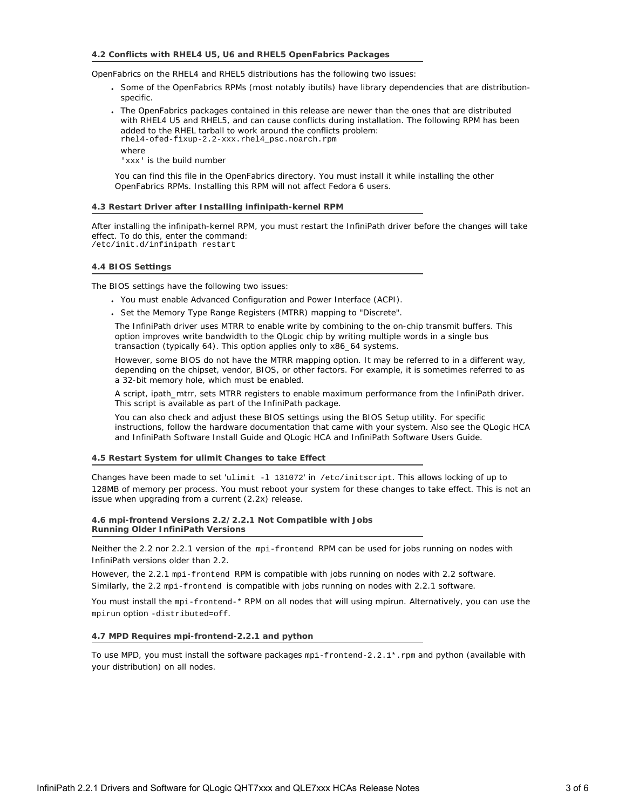#### <span id="page-2-0"></span>**4.2 Conflicts with RHEL4 U5, U6 and RHEL5 OpenFabrics Packages**

OpenFabrics on the RHEL4 and RHEL5 distributions has the following two issues:

- Some of the OpenFabrics RPMs (most notably ibutils) have library dependencies that are distributionspecific.
- The OpenFabrics packages contained in this release are newer than the ones that are distributed with RHEL4 U5 and RHEL5, and can cause conflicts during installation. The following RPM has been added to the RHEL tarball to work around the conflicts problem: rhel4-ofed-fixup-2.2-xxx.rhel4\_psc.noarch.rpm where

'xxx' is the build number

You can find this file in the OpenFabrics directory. You must install it while installing the other OpenFabrics RPMs. Installing this RPM will not affect Fedora 6 users.

#### **4.3 Restart Driver after Installing infinipath-kernel RPM**

<span id="page-2-1"></span>After installing the infinipath-kernel RPM, you must restart the InfiniPath driver before the changes will take effect. To do this, enter the command: /etc/init.d/infinipath restart

#### <span id="page-2-2"></span>**4.4 BIOS Settings**

The BIOS settings have the following two issues:

- You must enable Advanced Configuration and Power Interface (ACPI).
- Set the Memory Type Range Registers (MTRR) mapping to "Discrete".

The InfiniPath driver uses MTRR to enable write by combining to the on-chip transmit buffers. This option improves write bandwidth to the QLogic chip by writing multiple words in a single bus transaction (typically 64). This option applies only to x86\_64 systems.

However, some BIOS do not have the MTRR mapping option. It may be referred to in a different way, depending on the chipset, vendor, BIOS, or other factors. For example, it is sometimes referred to as a 32-bit memory hole, which must be enabled.

A script, ipath\_mtrr, sets MTRR registers to enable maximum performance from the InfiniPath driver. This script is available as part of the InfiniPath package.

You can also check and adjust these BIOS settings using the BIOS Setup utility. For specific instructions, follow the hardware documentation that came with your system. Also see the *QLogic HCA and InfiniPath Software Install Guide* and *QLogic HCA and InfiniPath Software Users Guide*.

#### <span id="page-2-3"></span>**4.5 Restart System for ulimit Changes to take Effect**

Changes have been made to set 'ulimit -l 131072' in /etc/initscript. This allows locking of up to 128MB of memory per process. You must reboot your system for these changes to take effect. This is not an issue when upgrading from a current (2.2x) release.

#### <span id="page-2-4"></span>**4.6 mpi-frontend Versions 2.2/2.2.1 Not Compatible with Jobs Running Older InfiniPath Versions**

Neither the 2.2 nor 2.2.1 version of the mpi-frontend RPM can be used for jobs running on nodes with InfiniPath versions older than 2.2.

However, the 2.2.1 mpi-frontend RPM is compatible with jobs running on nodes with 2.2 software. Similarly, the 2.2 mpi-frontend is compatible with jobs running on nodes with 2.2.1 software.

You must install the mpi-frontend-\* RPM on all nodes that will using mpirun. Alternatively, you can use the mpirun option -distributed=off.

# <span id="page-2-5"></span>**4.7 MPD Requires mpi-frontend-2.2.1 and python**

To use MPD, you must install the software packages mpi-frontend-2.2.1\*.rpm and python (available with your distribution) on all nodes.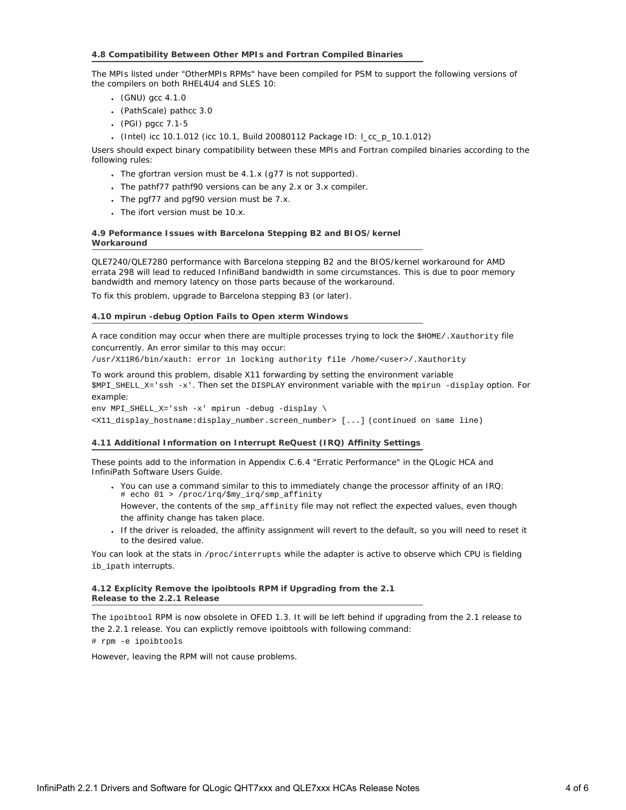### <span id="page-3-0"></span>**4.8 Compatibility Between Other MPIs and Fortran Compiled Binaries**

The MPIs listed under "OtherMPIs RPMs" have been compiled for PSM to support the following versions of the compilers on both RHEL4U4 and SLES 10:

- $(GNU)$  gcc 4.1.0
- (PathScale) pathcc 3.0
- (PGI) pgcc 7.1-5
- (Intel) icc 10.1.012 (icc 10.1, Build 20080112 Package ID: l\_cc\_p\_10.1.012)

Users should expect binary compatibility between these MPIs and Fortran compiled binaries according to the following rules:

- The gfortran version must be  $4.1.x$  (g77 is not supported).
- The pathf77 pathf90 versions can be any 2.x or 3.x compiler.
- $\cdot$  The pgf77 and pgf90 version must be 7.x.
- . The ifort version must be 10.x.

# <span id="page-3-1"></span>**4.9 Peformance Issues with Barcelona Stepping B2 and BIOS/kernel Workaround**

QLE7240/QLE7280 performance with Barcelona stepping B2 and the BIOS/kernel workaround for AMD errata 298 will lead to reduced InfiniBand bandwidth in some circumstances. This is due to poor memory bandwidth and memory latency on those parts because of the workaround.

To fix this problem, upgrade to Barcelona stepping B3 (or later).

# **4.10 mpirun -debug Option Fails to Open xterm Windows**

<span id="page-3-2"></span>A race condition may occur when there are multiple processes trying to lock the \$HOME/. Xauthority file concurrently. An error similar to this may occur:

/usr/X11R6/bin/xauth: error in locking authority file /home/<user>/.Xauthority

To work around this problem, disable X11 forwarding by setting the environment variable \$MPI\_SHELL\_X='ssh -x'. Then set the DISPLAY environment variable with the mpirun -display option. For example:

env MPI SHELL X='ssh -x' mpirun -debug -display  $\setminus$ 

<X11\_display\_hostname:display\_number.screen\_number> [...] (continued on same line)

# <span id="page-3-3"></span>**4.11 Additional Information on Interrupt ReQuest (IRQ) Affinity Settings**

These points add to the information in Appendix C.6.4 "Erratic Performance" in the *QLogic HCA and InfiniPath Software Users Guide*.

- You can use a command similar to this to immediately change the processor affinity of an IRQ: # echo 01 > /proc/irq/\$my\_irq/smp\_affinity
- However, the contents of the smp\_affinity file may not reflect the expected values, even though the affinity change has taken place.
- If the driver is reloaded, the affinity assignment will revert to the default, so you will need to reset it to the desired value.

You can look at the stats in /proc/interrupts while the adapter is active to observe which CPU is fielding ib\_ipath interrupts.

# <span id="page-3-4"></span>**4.12 Explicity Remove the ipoibtools RPM if Upgrading from the 2.1 Release to the 2.2.1 Release**

The ipoibtool RPM is now obsolete in OFED 1.3. It will be left behind if upgrading from the 2.1 release to the 2.2.1 release. You can explictly remove ipoibtools with following command:

# rpm -e ipoibtools

However, leaving the RPM will not cause problems.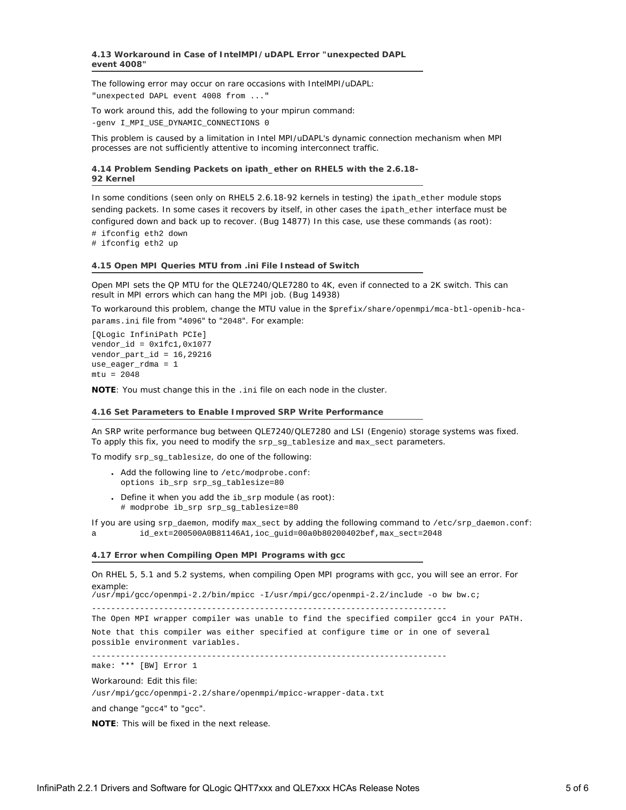<span id="page-4-0"></span>The following error may occur on rare occasions with IntelMPI/uDAPL: "unexpected DAPL event 4008 from ..."

To work around this, add the following to your mpirun command:

-genv I\_MPI\_USE\_DYNAMIC\_CONNECTIONS 0

This problem is caused by a limitation in Intel MPI/uDAPL's dynamic connection mechanism when MPI processes are not sufficiently attentive to incoming interconnect traffic.

<span id="page-4-1"></span>**4.14 Problem Sending Packets on ipath\_ether on RHEL5 with the 2.6.18- 92 Kernel**

In some conditions (seen only on RHEL5 2.6.18-92 kernels in testing) the ipath\_ether module stops sending packets. In some cases it recovers by itself, in other cases the ipath\_ether interface must be configured down and back up to recover. (Bug 14877) In this case, use these commands (as root):

# ifconfig eth2 down

# ifconfig eth2 up

# <span id="page-4-2"></span>**4.15 Open MPI Queries MTU from .ini File Instead of Switch**

Open MPI sets the QP MTU for the QLE7240/QLE7280 to 4K, even if connected to a 2K switch. This can result in MPI errors which can hang the MPI job. (Bug 14938)

To workaround this problem, change the MTU value in the \$prefix/share/openmpi/mca-btl-openib-hcaparams.ini file from "4096" to "2048". For example:

[QLogic InfiniPath PCIe]  $vendor_id = 0x1fc1, 0x1077$ vendor\_part\_id = 16,29216 use\_eager\_rdma = 1  $mtu = 2048$ 

**NOTE**: You must change this in the .ini file on each node in the cluster.

#### <span id="page-4-3"></span>**4.16 Set Parameters to Enable Improved SRP Write Performance**

An SRP write performance bug between QLE7240/QLE7280 and LSI (Engenio) storage systems was fixed. To apply this fix, you need to modify the srp\_sg\_tablesize and max\_sect parameters.

To modify srp\_sg\_tablesize, do one of the following:

- Add the following line to /etc/modprobe.conf: options ib\_srp srp\_sg\_tablesize=80
- Define it when you add the ib\_srp module (as root): # modprobe ib\_srp srp\_sg\_tablesize=80

If you are using srp\_daemon, modify max\_sect by adding the following command to /etc/srp\_daemon.conf:

a id\_ext=200500A0B81146A1,ioc\_guid=00a0b80200402bef,max\_sect=2048

#### **4.17 Error when Compiling Open MPI Programs with gcc**

<span id="page-4-4"></span>On RHEL 5, 5.1 and 5.2 systems, when compiling Open MPI programs with gcc, you will see an error. For example:

/usr/mpi/gcc/openmpi-2.2/bin/mpicc -I/usr/mpi/gcc/openmpi-2.2/include -o bw bw.c;

--------------------------------------------------------------------------

The Open MPI wrapper compiler was unable to find the specified compiler gcc4 in your PATH.

Note that this compiler was either specified at configure time or in one of several possible environment variables.

--------------------------------------------------------------------------

make: \*\*\* [BW] Error 1

Workaround: Edit this file:

/usr/mpi/gcc/openmpi-2.2/share/openmpi/mpicc-wrapper-data.txt

and change "gcc4" to "gcc".

**NOTE**: This will be fixed in the next release.